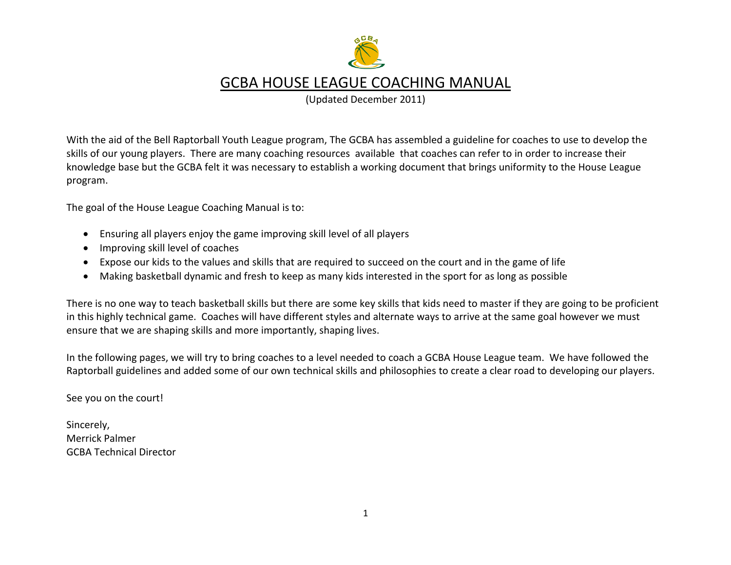

(Updated December 2011)

With the aid of the Bell Raptorball Youth League program, The GCBA has assembled a guideline for coaches to use to develop the skills of our young players. There are many coaching resources available that coaches can refer to in order to increase their knowledge base but the GCBA felt it was necessary to establish a working document that brings uniformity to the House League program.

The goal of the House League Coaching Manual is to:

- Ensuring all players enjoy the game improving skill level of all players
- Improving skill level of coaches
- Expose our kids to the values and skills that are required to succeed on the court and in the game of life
- Making basketball dynamic and fresh to keep as many kids interested in the sport for as long as possible

There is no one way to teach basketball skills but there are some key skills that kids need to master if they are going to be proficient in this highly technical game. Coaches will have different styles and alternate ways to arrive at the same goal however we must ensure that we are shaping skills and more importantly, shaping lives.

In the following pages, we will try to bring coaches to a level needed to coach a GCBA House League team. We have followed the Raptorball guidelines and added some of our own technical skills and philosophies to create a clear road to developing our players.

See you on the court!

Sincerely, Merrick Palmer GCBA Technical Director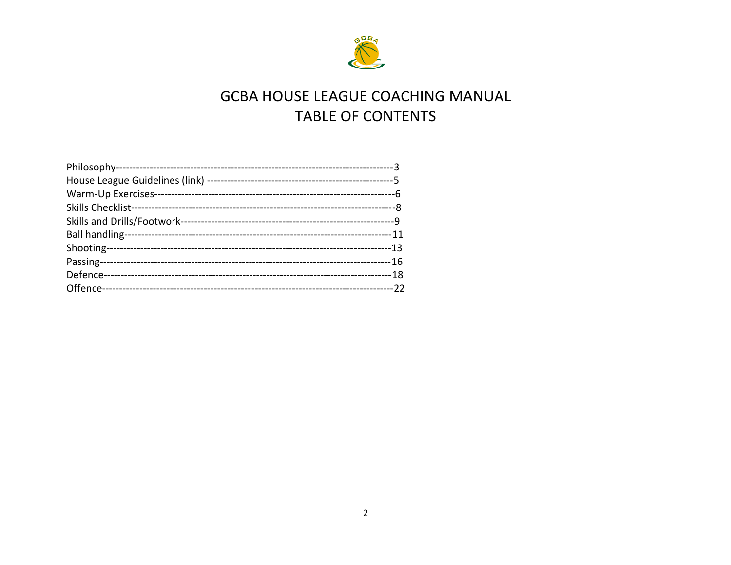

# **GCBA HOUSE LEAGUE COACHING MANUAL** TABLE OF CONTENTS

| Skills and Drills/Footwork-- |  |
|------------------------------|--|
| Ball handling-               |  |
| Shooting-                    |  |
|                              |  |
|                              |  |
| Offence-                     |  |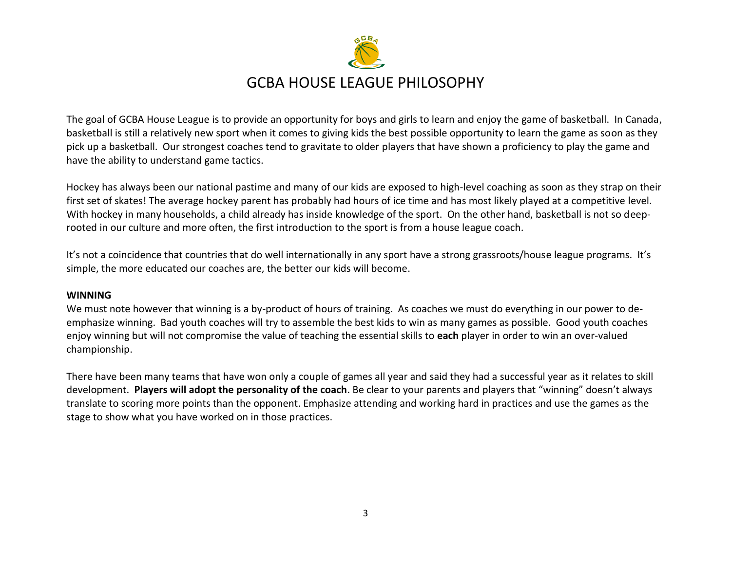

The goal of GCBA House League is to provide an opportunity for boys and girls to learn and enjoy the game of basketball. In Canada, basketball is still a relatively new sport when it comes to giving kids the best possible opportunity to learn the game as soon as they pick up a basketball. Our strongest coaches tend to gravitate to older players that have shown a proficiency to play the game and have the ability to understand game tactics.

Hockey has always been our national pastime and many of our kids are exposed to high-level coaching as soon as they strap on their first set of skates! The average hockey parent has probably had hours of ice time and has most likely played at a competitive level. With hockey in many households, a child already has inside knowledge of the sport. On the other hand, basketball is not so deeprooted in our culture and more often, the first introduction to the sport is from a house league coach.

It's not a coincidence that countries that do well internationally in any sport have a strong grassroots/house league programs. It's simple, the more educated our coaches are, the better our kids will become.

#### **WINNING**

We must note however that winning is a by-product of hours of training. As coaches we must do everything in our power to deemphasize winning. Bad youth coaches will try to assemble the best kids to win as many games as possible. Good youth coaches enjoy winning but will not compromise the value of teaching the essential skills to **each** player in order to win an over-valued championship.

There have been many teams that have won only a couple of games all year and said they had a successful year as it relates to skill development. **Players will adopt the personality of the coach**. Be clear to your parents and players that "winning" doesn't always translate to scoring more points than the opponent. Emphasize attending and working hard in practices and use the games as the stage to show what you have worked on in those practices.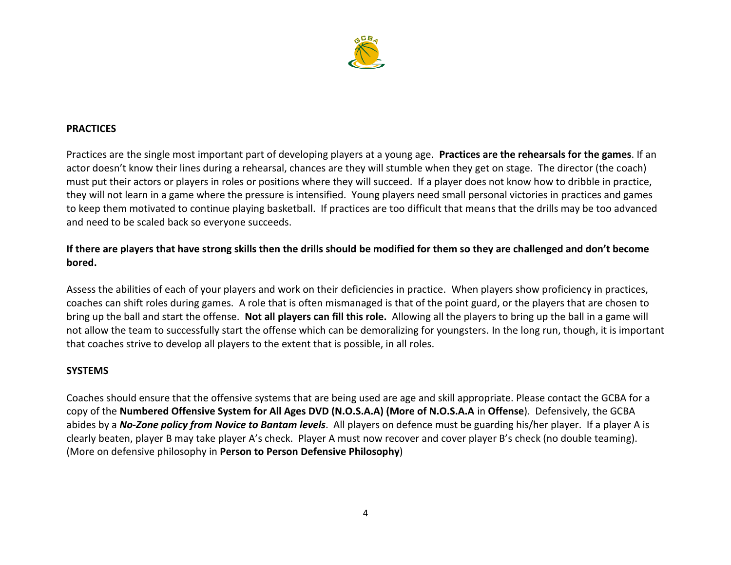

#### **PRACTICES**

Practices are the single most important part of developing players at a young age. **Practices are the rehearsals for the games**. If an actor doesn't know their lines during a rehearsal, chances are they will stumble when they get on stage. The director (the coach) must put their actors or players in roles or positions where they will succeed. If a player does not know how to dribble in practice, they will not learn in a game where the pressure is intensified. Young players need small personal victories in practices and games to keep them motivated to continue playing basketball. If practices are too difficult that means that the drills may be too advanced and need to be scaled back so everyone succeeds.

#### **If there are players that have strong skills then the drills should be modified for them so they are challenged and don't become bored.**

Assess the abilities of each of your players and work on their deficiencies in practice. When players show proficiency in practices, coaches can shift roles during games. A role that is often mismanaged is that of the point guard, or the players that are chosen to bring up the ball and start the offense. **Not all players can fill this role.** Allowing all the players to bring up the ball in a game will not allow the team to successfully start the offense which can be demoralizing for youngsters. In the long run, though, it is important that coaches strive to develop all players to the extent that is possible, in all roles.

#### **SYSTEMS**

Coaches should ensure that the offensive systems that are being used are age and skill appropriate. Please contact the GCBA for a copy of the **Numbered Offensive System for All Ages DVD (N.O.S.A.A) (More of N.O.S.A.A** in **Offense**). Defensively, the GCBA abides by a *No-Zone policy from Novice to Bantam levels*. All players on defence must be guarding his/her player. If a player A is clearly beaten, player B may take player A's check. Player A must now recover and cover player B's check (no double teaming). (More on defensive philosophy in **Person to Person Defensive Philosophy**)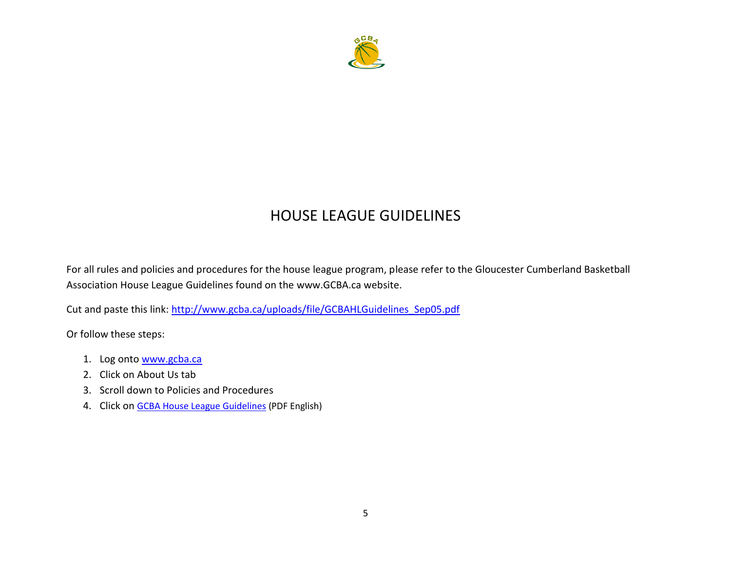

### HOUSE LEAGUE GUIDELINES

For all rules and policies and procedures for the house league program, please refer to the Gloucester Cumberland Basketball Association House League Guidelines found on the www.GCBA.ca website.

Cut and paste this link: [http://www.gcba.ca/uploads/file/GCBAHLGuidelines\\_Sep05.pdf](http://www.gcba.ca/uploads/file/GCBAHLGuidelines_Sep05.pdf)

Or follow these steps:

- 1. Log onto [www.gcba.ca](http://www.gcba.ca/)
- 2. Click on About Us tab
- 3. Scroll down to Policies and Procedures
- 4. Click on [GCBA House League Guidelines](http://www.gcba.ca/uploads/file/GCBAHLGuidelines_Sep05.pdf) (PDF English)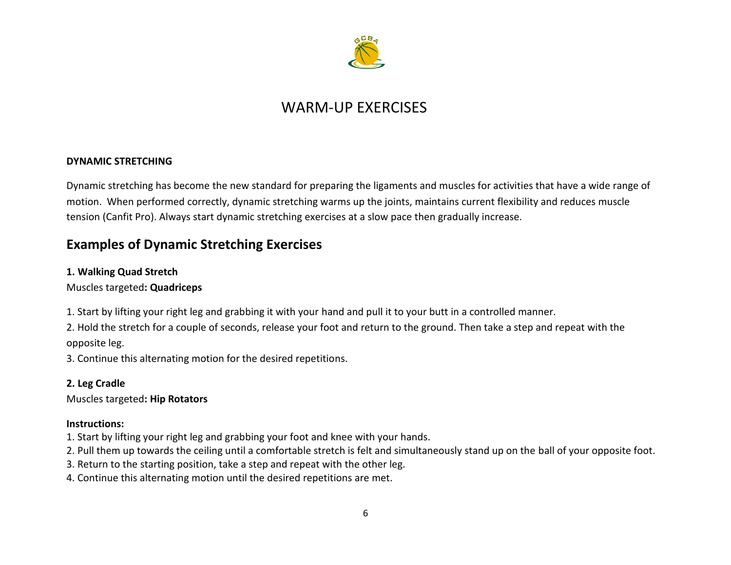

### WARM-UP EXERCISES

#### **DYNAMIC STRETCHING**

Dynamic stretching has become the new standard for preparing the ligaments and muscles for activities that have a wide range of motion. When performed correctly, dynamic stretching warms up the joints, maintains current flexibility and reduces muscle tension (Canfit Pro). Always start dynamic stretching exercises at a slow pace then gradually increase.

#### **Examples of Dynamic Stretching Exercises**

#### **1. Walking Quad Stretch**

#### Muscles targeted**: Quadriceps**

1. Start by lifting your right leg and grabbing it with your hand and pull it to your butt in a controlled manner.

2. Hold the stretch for a couple of seconds, release your foot and return to the ground. Then take a step and repeat with the opposite leg.

3. Continue this alternating motion for the desired repetitions.

#### **2. Leg Cradle**

Muscles targeted**: Hip Rotators**

#### **Instructions:**

- 1. Start by lifting your right leg and grabbing your foot and knee with your hands.
- 2. Pull them up towards the ceiling until a comfortable stretch is felt and simultaneously stand up on the ball of your opposite foot.
- 3. Return to the starting position, take a step and repeat with the other leg.
- 4. Continue this alternating motion until the desired repetitions are met.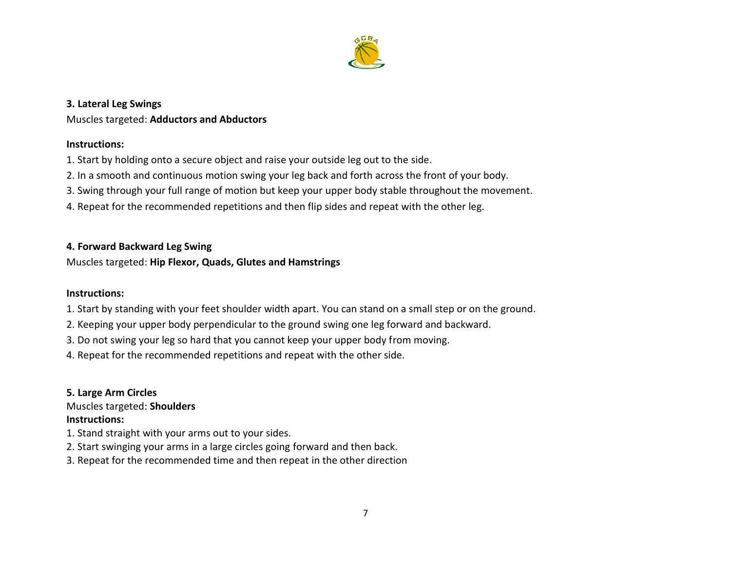

#### **3. Lateral Leg Swings**

#### Muscles targeted: **Adductors and Abductors**

#### **Instructions:**

- 1. Start by holding onto a secure object and raise your outside leg out to the side.
- 2. In a smooth and continuous motion swing your leg back and forth across the front of your body.
- 3. Swing through your full range of motion but keep your upper body stable throughout the movement.
- 4. Repeat for the recommended repetitions and then flip sides and repeat with the other leg.

#### **4. Forward Backward Leg Swing**

#### Muscles targeted: **Hip Flexor, Quads, Glutes and Hamstrings**

#### **Instructions:**

- 1. Start by standing with your feet shoulder width apart. You can stand on a small step or on the ground.
- 2. Keeping your upper body perpendicular to the ground swing one leg forward and backward.
- 3. Do not swing your leg so hard that you cannot keep your upper body from moving.
- 4. Repeat for the recommended repetitions and repeat with the other side.

### **5. Large Arm Circles** Muscles targeted: **Shoulders**

#### **Instructions:**

- 1. Stand straight with your arms out to your sides.
- 2. Start swinging your arms in a large circles going forward and then back.
- 3. Repeat for the recommended time and then repeat in the other direction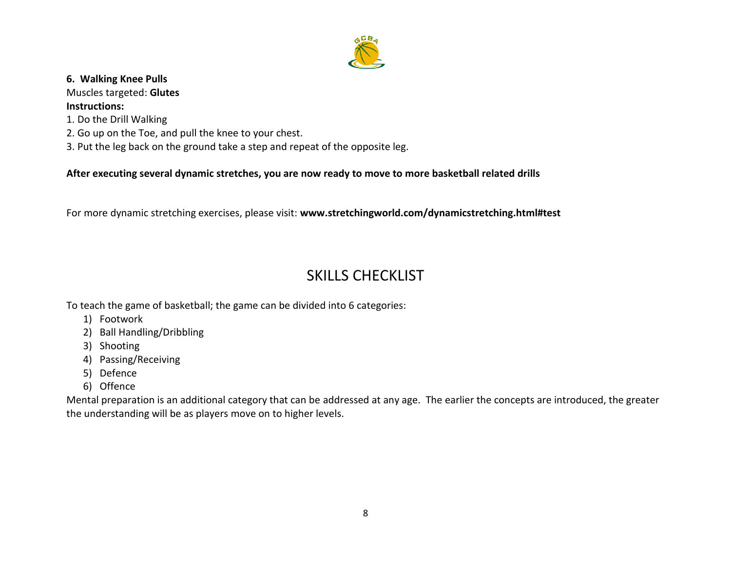

#### **6. Walking Knee Pulls**

Muscles targeted: **Glutes Instructions:**

- 1. Do the Drill Walking
- 2. Go up on the Toe, and pull the knee to your chest.
- 3. Put the leg back on the ground take a step and repeat of the opposite leg.

**After executing several dynamic stretches, you are now ready to move to more basketball related drills**

For more dynamic stretching exercises, please visit: **www.stretchingworld.com/dynamicstretching.html#test**

# SKILLS CHECKLIST

To teach the game of basketball; the game can be divided into 6 categories:

- 1) Footwork
- 2) Ball Handling/Dribbling
- 3) Shooting
- 4) Passing/Receiving
- 5) Defence
- 6) Offence

Mental preparation is an additional category that can be addressed at any age. The earlier the concepts are introduced, the greater the understanding will be as players move on to higher levels.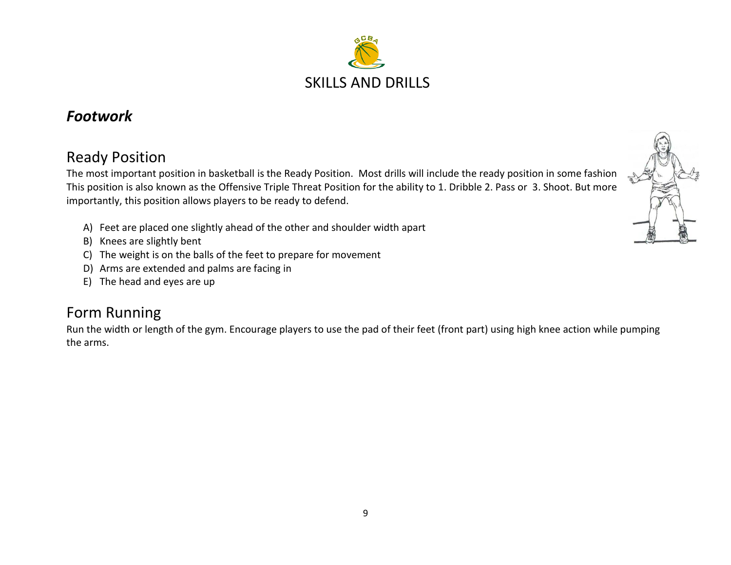

### *Footwork*

## Ready Position

The most important position in basketball is the Ready Position. Most drills will include the ready position in some fashion This position is also known as the Offensive Triple Threat Position for the ability to 1. Dribble 2. Pass or 3. Shoot. But more importantly, this position allows players to be ready to defend.

- A) Feet are placed one slightly ahead of the other and shoulder width apart
- B) Knees are slightly bent
- C) The weight is on the balls of the feet to prepare for movement
- D) Arms are extended and palms are facing in
- E) The head and eyes are up

### Form Running

Run the width or length of the gym. Encourage players to use the pad of their feet (front part) using high knee action while pumping the arms.

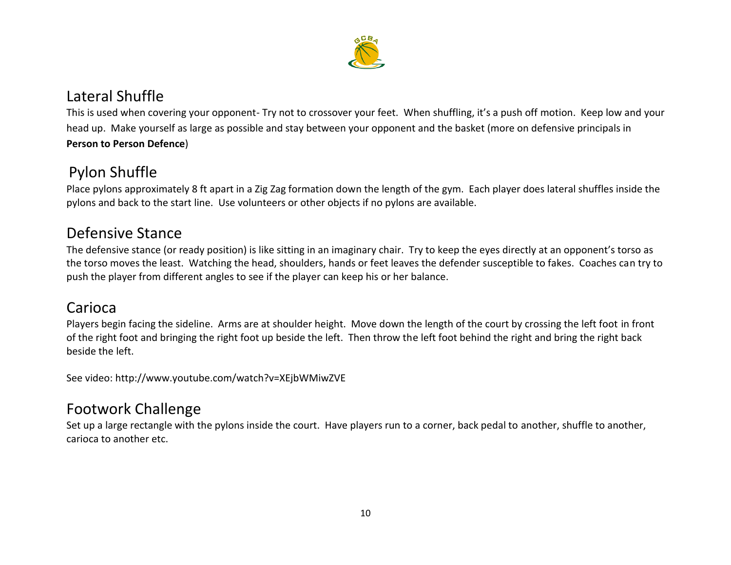

### Lateral Shuffle

This is used when covering your opponent- Try not to crossover your feet. When shuffling, it's a push off motion. Keep low and your head up. Make yourself as large as possible and stay between your opponent and the basket (more on defensive principals in **Person to Person Defence**)

# Pylon Shuffle

Place pylons approximately 8 ft apart in a Zig Zag formation down the length of the gym. Each player does lateral shuffles inside the pylons and back to the start line. Use volunteers or other objects if no pylons are available.

# Defensive Stance

The defensive stance (or ready position) is like sitting in an imaginary chair. Try to keep the eyes directly at an opponent's torso as the torso moves the least. Watching the head, shoulders, hands or feet leaves the defender susceptible to fakes. Coaches can try to push the player from different angles to see if the player can keep his or her balance.

### Carioca

Players begin facing the sideline. Arms are at shoulder height. Move down the length of the court by crossing the left foot in front of the right foot and bringing the right foot up beside the left. Then throw the left foot behind the right and bring the right back beside the left.

See video: http://www.youtube.com/watch?v=XEjbWMiwZVE

### Footwork Challenge

Set up a large rectangle with the pylons inside the court. Have players run to a corner, back pedal to another, shuffle to another, carioca to another etc.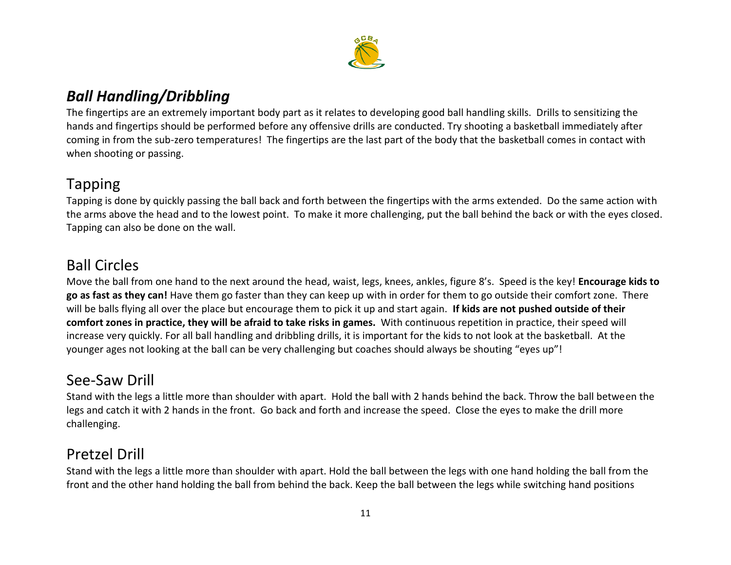

# *Ball Handling/Dribbling*

The fingertips are an extremely important body part as it relates to developing good ball handling skills. Drills to sensitizing the hands and fingertips should be performed before any offensive drills are conducted. Try shooting a basketball immediately after coming in from the sub-zero temperatures! The fingertips are the last part of the body that the basketball comes in contact with when shooting or passing.

### Tapping

Tapping is done by quickly passing the ball back and forth between the fingertips with the arms extended. Do the same action with the arms above the head and to the lowest point. To make it more challenging, put the ball behind the back or with the eyes closed. Tapping can also be done on the wall.

# Ball Circles

Move the ball from one hand to the next around the head, waist, legs, knees, ankles, figure 8's. Speed is the key! **Encourage kids to go as fast as they can!** Have them go faster than they can keep up with in order for them to go outside their comfort zone. There will be balls flying all over the place but encourage them to pick it up and start again. **If kids are not pushed outside of their comfort zones in practice, they will be afraid to take risks in games.** With continuous repetition in practice, their speed will increase very quickly. For all ball handling and dribbling drills, it is important for the kids to not look at the basketball. At the younger ages not looking at the ball can be very challenging but coaches should always be shouting "eyes up"!

### See-Saw Drill

Stand with the legs a little more than shoulder with apart. Hold the ball with 2 hands behind the back. Throw the ball between the legs and catch it with 2 hands in the front. Go back and forth and increase the speed. Close the eyes to make the drill more challenging.

### Pretzel Drill

Stand with the legs a little more than shoulder with apart. Hold the ball between the legs with one hand holding the ball from the front and the other hand holding the ball from behind the back. Keep the ball between the legs while switching hand positions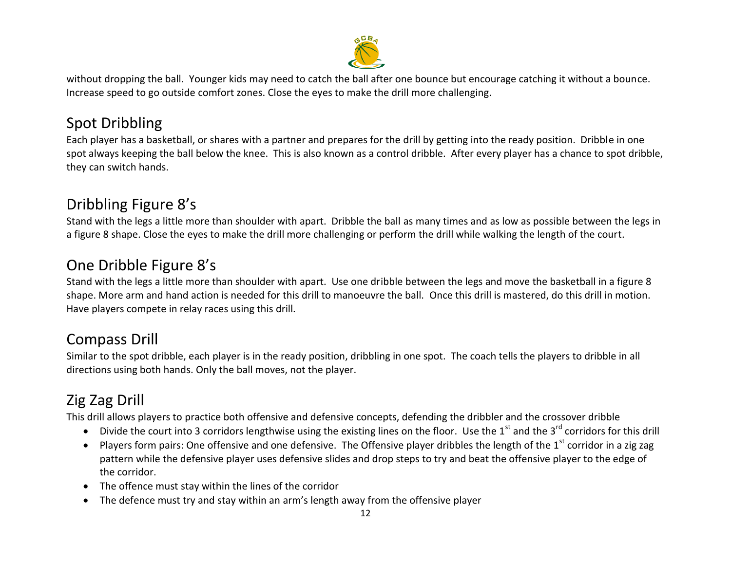

without dropping the ball. Younger kids may need to catch the ball after one bounce but encourage catching it without a bounce. Increase speed to go outside comfort zones. Close the eyes to make the drill more challenging.

# Spot Dribbling

Each player has a basketball, or shares with a partner and prepares for the drill by getting into the ready position. Dribble in one spot always keeping the ball below the knee. This is also known as a control dribble. After every player has a chance to spot dribble, they can switch hands.

# Dribbling Figure 8's

Stand with the legs a little more than shoulder with apart. Dribble the ball as many times and as low as possible between the legs in a figure 8 shape. Close the eyes to make the drill more challenging or perform the drill while walking the length of the court.

# One Dribble Figure 8's

Stand with the legs a little more than shoulder with apart. Use one dribble between the legs and move the basketball in a figure 8 shape. More arm and hand action is needed for this drill to manoeuvre the ball. Once this drill is mastered, do this drill in motion. Have players compete in relay races using this drill.

# Compass Drill

Similar to the spot dribble, each player is in the ready position, dribbling in one spot. The coach tells the players to dribble in all directions using both hands. Only the ball moves, not the player.

# Zig Zag Drill

This drill allows players to practice both offensive and defensive concepts, defending the dribbler and the crossover dribble

- $\bullet$  Divide the court into 3 corridors lengthwise using the existing lines on the floor. Use the 1<sup>st</sup> and the 3<sup>rd</sup> corridors for this drill
- Players form pairs: One offensive and one defensive. The Offensive player dribbles the length of the  $1^{st}$  corridor in a zig zag pattern while the defensive player uses defensive slides and drop steps to try and beat the offensive player to the edge of the corridor.
- The offence must stay within the lines of the corridor
- The defence must try and stay within an arm's length away from the offensive player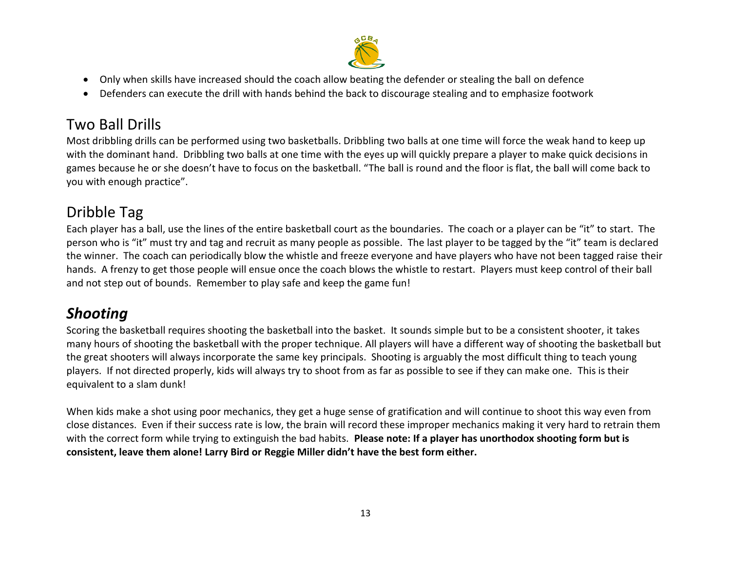

- Only when skills have increased should the coach allow beating the defender or stealing the ball on defence
- Defenders can execute the drill with hands behind the back to discourage stealing and to emphasize footwork

# Two Ball Drills

Most dribbling drills can be performed using two basketballs. Dribbling two balls at one time will force the weak hand to keep up with the dominant hand. Dribbling two balls at one time with the eyes up will quickly prepare a player to make quick decisions in games because he or she doesn't have to focus on the basketball. "The ball is round and the floor is flat, the ball will come back to you with enough practice".

# Dribble Tag

Each player has a ball, use the lines of the entire basketball court as the boundaries. The coach or a player can be "it" to start. The person who is "it" must try and tag and recruit as many people as possible. The last player to be tagged by the "it" team is declared the winner. The coach can periodically blow the whistle and freeze everyone and have players who have not been tagged raise their hands. A frenzy to get those people will ensue once the coach blows the whistle to restart. Players must keep control of their ball and not step out of bounds. Remember to play safe and keep the game fun!

# *Shooting*

Scoring the basketball requires shooting the basketball into the basket. It sounds simple but to be a consistent shooter, it takes many hours of shooting the basketball with the proper technique. All players will have a different way of shooting the basketball but the great shooters will always incorporate the same key principals. Shooting is arguably the most difficult thing to teach young players. If not directed properly, kids will always try to shoot from as far as possible to see if they can make one. This is their equivalent to a slam dunk!

When kids make a shot using poor mechanics, they get a huge sense of gratification and will continue to shoot this way even from close distances. Even if their success rate is low, the brain will record these improper mechanics making it very hard to retrain them with the correct form while trying to extinguish the bad habits. **Please note: If a player has unorthodox shooting form but is consistent, leave them alone! Larry Bird or Reggie Miller didn't have the best form either.**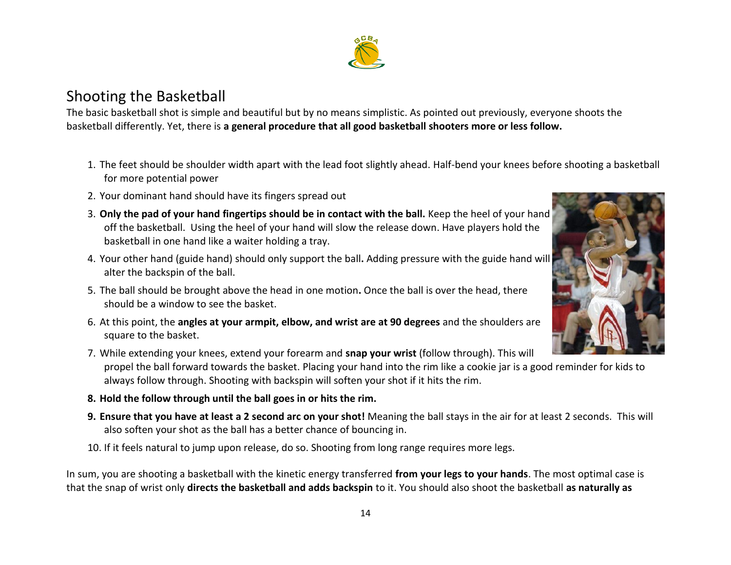#### 14

### Shooting the Basketball

The basic basketball shot is simple and beautiful but by no means simplistic. As pointed out previously, everyone shoots the basketball differently. Yet, there is **a general procedure that all good basketball shooters more or less follow.**

- 1. The feet should be shoulder width apart with the lead foot slightly ahead. Half-bend your knees before shooting a basketball for more potential power
- 2. Your dominant hand should have its fingers spread out
- 3. **Only the pad of your hand fingertips should be in contact with the ball.** Keep the heel of your hand off the basketball. Using the heel of your hand will slow the release down. Have players hold the basketball in one hand like a waiter holding a tray.
- 4. Your other hand (guide hand) should only support the ball**.** Adding pressure with the guide hand will alter the backspin of the ball.
- 5. The ball should be brought above the head in one motion**.** Once the ball is over the head, there should be a window to see the basket.
- 6. At this point, the **angles at your armpit, elbow, and wrist are at 90 degrees** and the shoulders are square to the basket.
- 7. While extending your knees, extend your forearm and **snap your wrist** (follow through). This will propel the ball forward towards the basket. Placing your hand into the rim like a cookie jar is a good reminder for kids to always follow through. Shooting with backspin will soften your shot if it hits the rim.
- **8. Hold the follow through until the ball goes in or hits the rim.**
- **9. Ensure that you have at least a 2 second arc on your shot!** Meaning the ball stays in the air for at least 2 seconds. This will also soften your shot as the ball has a better chance of bouncing in.
- 10. If it feels natural to jump upon release, do so. Shooting from long range requires more legs.

In sum, you are shooting a basketball with the kinetic energy transferred **from your legs to your hands**. The most optimal case is that the snap of wrist only **directs the basketball and adds backspin** to it. You should also shoot the basketball **as naturally as** 



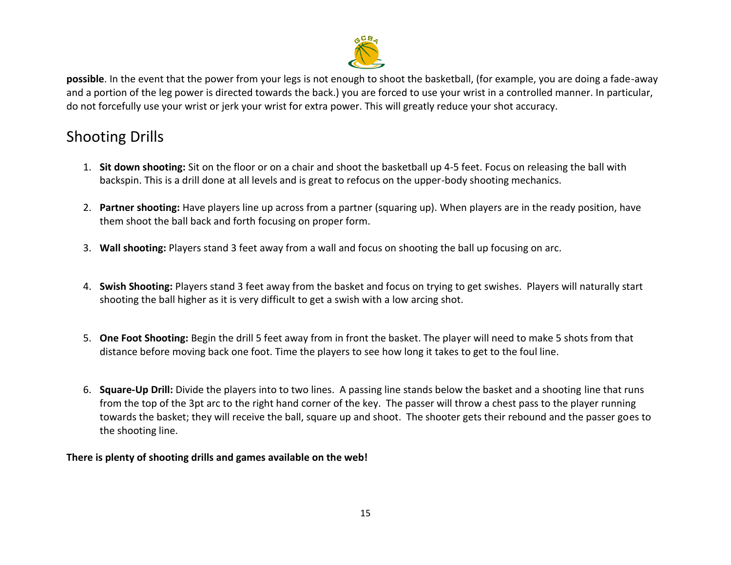

**possible**. In the event that the power from your legs is not enough to shoot the basketball, (for example, you are doing a fade-away and a portion of the leg power is directed towards the back.) you are forced to use your wrist in a controlled manner. In particular, do not forcefully use your wrist or jerk your wrist for extra power. This will greatly reduce your shot accuracy.

# Shooting Drills

- 1. **Sit down shooting:** Sit on the floor or on a chair and shoot the basketball up 4-5 feet. Focus on releasing the ball with backspin. This is a drill done at all levels and is great to refocus on the upper-body shooting mechanics.
- 2. **Partner shooting:** Have players line up across from a partner (squaring up). When players are in the ready position, have them shoot the ball back and forth focusing on proper form.
- 3. **Wall shooting:** Players stand 3 feet away from a wall and focus on shooting the ball up focusing on arc.
- 4. **Swish Shooting:** Players stand 3 feet away from the basket and focus on trying to get swishes. Players will naturally start shooting the ball higher as it is very difficult to get a swish with a low arcing shot.
- 5. **One Foot Shooting:** Begin the drill 5 feet away from in front the basket. The player will need to make 5 shots from that distance before moving back one foot. Time the players to see how long it takes to get to the foul line.
- 6. **Square-Up Drill:** Divide the players into to two lines. A passing line stands below the basket and a shooting line that runs from the top of the 3pt arc to the right hand corner of the key. The passer will throw a chest pass to the player running towards the basket; they will receive the ball, square up and shoot. The shooter gets their rebound and the passer goes to the shooting line.

#### **There is plenty of shooting drills and games available on the web!**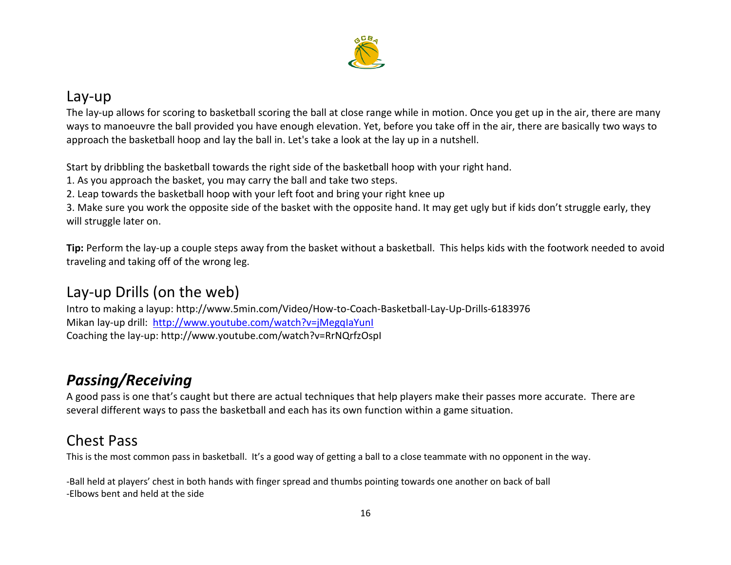

### Lay-up

The lay-up allows for scoring to basketball scoring the ball at close range while in motion. Once you get up in the air, there are many ways to manoeuvre the ball provided you have enough elevation. Yet, before you take off in the air, there are basically two ways to approach the basketball hoop and lay the ball in. Let's take a look at the lay up in a nutshell.

Start by dribbling the basketball towards the right side of the basketball hoop with your right hand.

1. As you approach the basket, you may carry the ball and take two steps.

2. Leap towards the basketball hoop with your left foot and bring your right knee up

3. Make sure you work the opposite side of the basket with the opposite hand. It may get ugly but if kids don't struggle early, they will struggle later on.

**Tip:** Perform the lay-up a couple steps away from the basket without a basketball. This helps kids with the footwork needed to avoid traveling and taking off of the wrong leg.

# Lay-up Drills (on the web)

Intro to making a layup: http://www.5min.com/Video/How-to-Coach-Basketball-Lay-Up-Drills-6183976 Mikan lay-up drill: <http://www.youtube.com/watch?v=jMegqIaYunI> Coaching the lay-up: http://www.youtube.com/watch?v=RrNQrfzOspI

# *Passing/Receiving*

A good pass is one that's caught but there are actual techniques that help players make their passes more accurate. There are several different ways to pass the basketball and each has its own function within a game situation.

# Chest Pass

This is the most common pass in basketball. It's a good way of getting a ball to a close teammate with no opponent in the way.

-Ball held at players' chest in both hands with finger spread and thumbs pointing towards one another on back of ball -Elbows bent and held at the side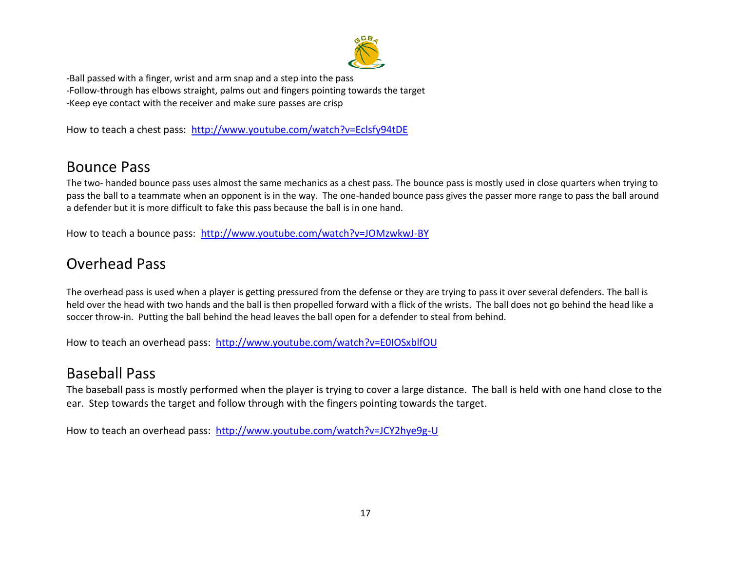

-Ball passed with a finger, wrist and arm snap and a step into the pass -Follow-through has elbows straight, palms out and fingers pointing towards the target -Keep eye contact with the receiver and make sure passes are crisp

How to teach a chest pass: <http://www.youtube.com/watch?v=Eclsfy94tDE>

### Bounce Pass

The two- handed bounce pass uses almost the same mechanics as a chest pass. The bounce pass is mostly used in close quarters when trying to pass the ball to a teammate when an opponent is in the way. The one-handed bounce pass gives the passer more range to pass the ball around a defender but it is more difficult to fake this pass because the ball is in one hand.

How to teach a bounce pass: <http://www.youtube.com/watch?v=JOMzwkwJ-BY>

## Overhead Pass

The overhead pass is used when a player is getting pressured from the defense or they are trying to pass it over several defenders. The ball is held over the head with two hands and the ball is then propelled forward with a flick of the wrists. The ball does not go behind the head like a soccer throw-in. Putting the ball behind the head leaves the ball open for a defender to steal from behind.

How to teach an overhead pass: <http://www.youtube.com/watch?v=E0IOSxblfOU>

### Baseball Pass

The baseball pass is mostly performed when the player is trying to cover a large distance. The ball is held with one hand close to the ear. Step towards the target and follow through with the fingers pointing towards the target.

How to teach an overhead pass: <http://www.youtube.com/watch?v=JCY2hye9g-U>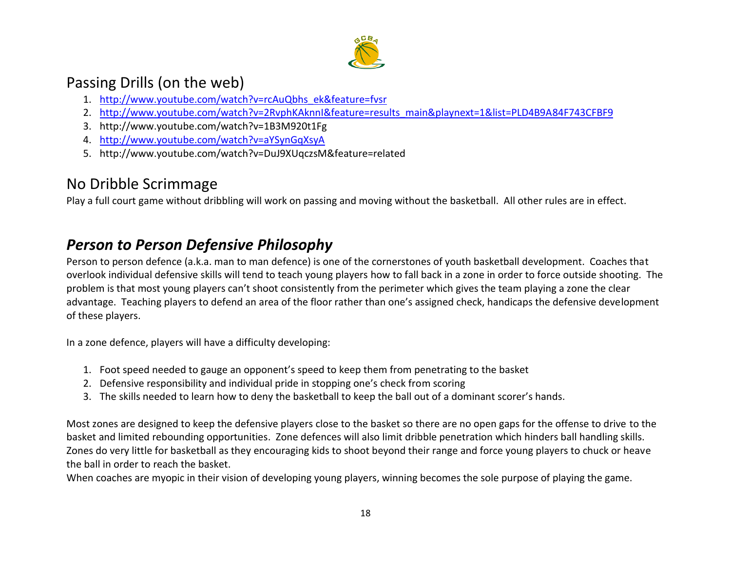

### Passing Drills (on the web)

- 1. [http://www.youtube.com/watch?v=rcAuQbhs\\_ek&feature=fvsr](http://www.youtube.com/watch?v=rcAuQbhs_ek&feature=fvsr)
- 2. [http://www.youtube.com/watch?v=2RvphKAknnI&feature=results\\_main&playnext=1&list=PLD4B9A84F743CFBF9](http://www.youtube.com/watch?v=2RvphKAknnI&feature=results_main&playnext=1&list=PLD4B9A84F743CFBF9)
- 3. http://www.youtube.com/watch?v=1B3M920t1Fg
- 4. <http://www.youtube.com/watch?v=aYSynGqXsyA>
- 5. http://www.youtube.com/watch?v=DuJ9XUqczsM&feature=related

# No Dribble Scrimmage

Play a full court game without dribbling will work on passing and moving without the basketball. All other rules are in effect.

# *Person to Person Defensive Philosophy*

Person to person defence (a.k.a. man to man defence) is one of the cornerstones of youth basketball development. Coaches that overlook individual defensive skills will tend to teach young players how to fall back in a zone in order to force outside shooting. The problem is that most young players can't shoot consistently from the perimeter which gives the team playing a zone the clear advantage. Teaching players to defend an area of the floor rather than one's assigned check, handicaps the defensive development of these players.

In a zone defence, players will have a difficulty developing:

- 1. Foot speed needed to gauge an opponent's speed to keep them from penetrating to the basket
- 2. Defensive responsibility and individual pride in stopping one's check from scoring
- 3. The skills needed to learn how to deny the basketball to keep the ball out of a dominant scorer's hands.

Most zones are designed to keep the defensive players close to the basket so there are no open gaps for the offense to drive to the basket and limited rebounding opportunities. Zone defences will also limit dribble penetration which hinders ball handling skills. Zones do very little for basketball as they encouraging kids to shoot beyond their range and force young players to chuck or heave the ball in order to reach the basket.

When coaches are myopic in their vision of developing young players, winning becomes the sole purpose of playing the game.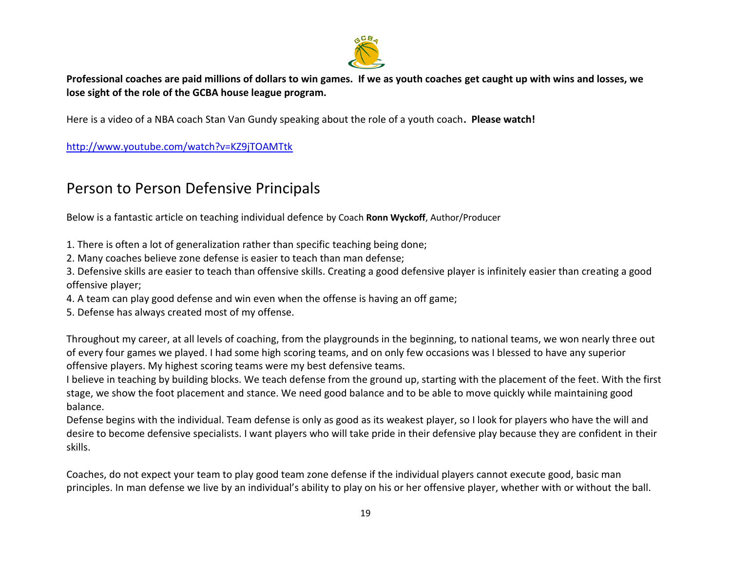

**Professional coaches are paid millions of dollars to win games. If we as youth coaches get caught up with wins and losses, we lose sight of the role of the GCBA house league program.**

Here is a video of a NBA coach Stan Van Gundy speaking about the role of a youth coach**. Please watch!**

<http://www.youtube.com/watch?v=KZ9jTOAMTtk>

### Person to Person Defensive Principals

Below is a fantastic article on teaching individual defence by Coach **Ronn Wyckoff**, Author/Producer

1. There is often a lot of generalization rather than specific teaching being done;

2. Many coaches believe zone defense is easier to teach than man defense;

3. Defensive skills are easier to teach than offensive skills. Creating a good defensive player is infinitely easier than creating a good offensive player;

4. A team can play good defense and win even when the offense is having an off game;

5. Defense has always created most of my offense.

Throughout my career, at all levels of coaching, from the playgrounds in the beginning, to national teams, we won nearly three out of every four games we played. I had some high scoring teams, and on only few occasions was I blessed to have any superior offensive players. My highest scoring teams were my best defensive teams.

I believe in teaching by building blocks. We teach defense from the ground up, starting with the placement of the feet. With the first stage, we show the foot placement and stance. We need good balance and to be able to move quickly while maintaining good balance.

Defense begins with the individual. Team defense is only as good as its weakest player, so I look for players who have the will and desire to become defensive specialists. I want players who will take pride in their defensive play because they are confident in their skills.

Coaches, do not expect your team to play good team zone defense if the individual players cannot execute good, basic man principles. In man defense we live by an individual's ability to play on his or her offensive player, whether with or without the ball.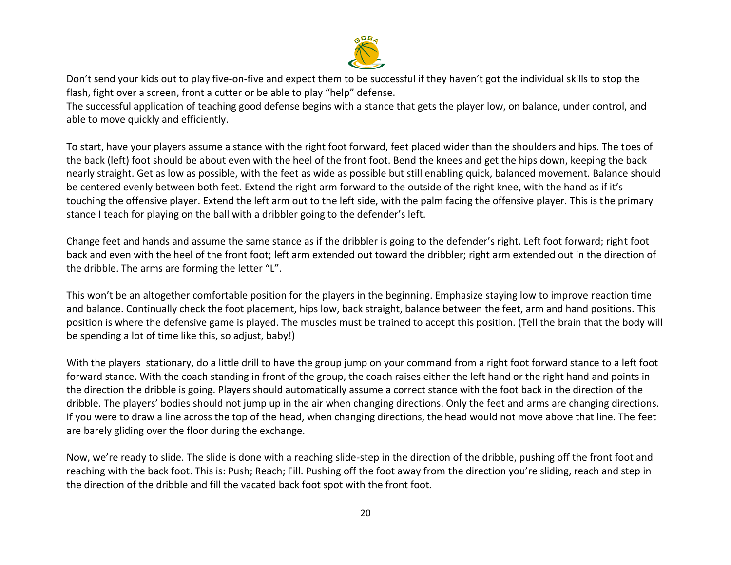

Don't send your kids out to play five-on-five and expect them to be successful if they haven't got the individual skills to stop the flash, fight over a screen, front a cutter or be able to play "help" defense.

The successful application of teaching good defense begins with a stance that gets the player low, on balance, under control, and able to move quickly and efficiently.

To start, have your players assume a stance with the right foot forward, feet placed wider than the shoulders and hips. The toes of the back (left) foot should be about even with the heel of the front foot. Bend the knees and get the hips down, keeping the back nearly straight. Get as low as possible, with the feet as wide as possible but still enabling quick, balanced movement. Balance should be centered evenly between both feet. Extend the right arm forward to the outside of the right knee, with the hand as if it's touching the offensive player. Extend the left arm out to the left side, with the palm facing the offensive player. This is the primary stance I teach for playing on the ball with a dribbler going to the defender's left.

Change feet and hands and assume the same stance as if the dribbler is going to the defender's right. Left foot forward; right foot back and even with the heel of the front foot; left arm extended out toward the dribbler; right arm extended out in the direction of the dribble. The arms are forming the letter "L".

This won't be an altogether comfortable position for the players in the beginning. Emphasize staying low to improve reaction time and balance. Continually check the foot placement, hips low, back straight, balance between the feet, arm and hand positions. This position is where the defensive game is played. The muscles must be trained to accept this position. (Tell the brain that the body will be spending a lot of time like this, so adjust, baby!)

With the players stationary, do a little drill to have the group jump on your command from a right foot forward stance to a left foot forward stance. With the coach standing in front of the group, the coach raises either the left hand or the right hand and points in the direction the dribble is going. Players should automatically assume a correct stance with the foot back in the direction of the dribble. The players' bodies should not jump up in the air when changing directions. Only the feet and arms are changing directions. If you were to draw a line across the top of the head, when changing directions, the head would not move above that line. The feet are barely gliding over the floor during the exchange.

Now, we're ready to slide. The slide is done with a reaching slide-step in the direction of the dribble, pushing off the front foot and reaching with the back foot. This is: Push; Reach; Fill. Pushing off the foot away from the direction you're sliding, reach and step in the direction of the dribble and fill the vacated back foot spot with the front foot.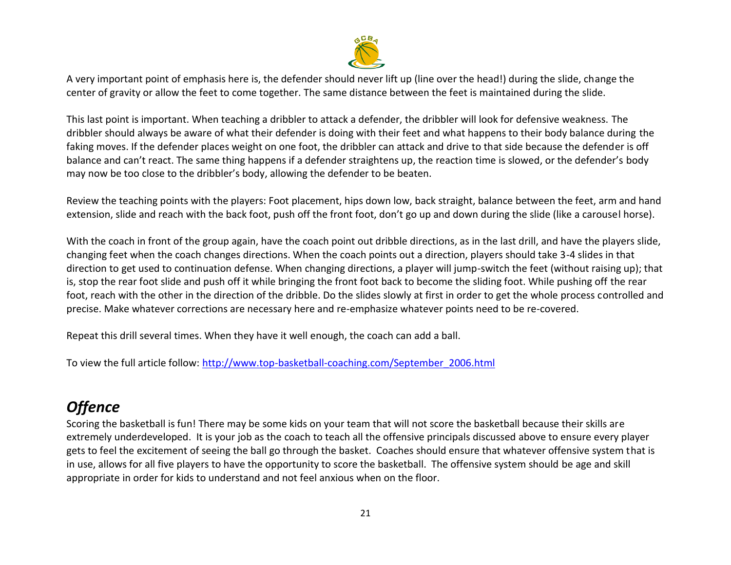

A very important point of emphasis here is, the defender should never lift up (line over the head!) during the slide, change the center of gravity or allow the feet to come together. The same distance between the feet is maintained during the slide.

This last point is important. When teaching a dribbler to attack a defender, the dribbler will look for defensive weakness. The dribbler should always be aware of what their defender is doing with their feet and what happens to their body balance during the faking moves. If the defender places weight on one foot, the dribbler can attack and drive to that side because the defender is off balance and can't react. The same thing happens if a defender straightens up, the reaction time is slowed, or the defender's body may now be too close to the dribbler's body, allowing the defender to be beaten.

Review the teaching points with the players: Foot placement, hips down low, back straight, balance between the feet, arm and hand extension, slide and reach with the back foot, push off the front foot, don't go up and down during the slide (like a carousel horse).

With the coach in front of the group again, have the coach point out dribble directions, as in the last drill, and have the players slide, changing feet when the coach changes directions. When the coach points out a direction, players should take 3-4 slides in that direction to get used to continuation defense. When changing directions, a player will jump-switch the feet (without raising up); that is, stop the rear foot slide and push off it while bringing the front foot back to become the sliding foot. While pushing off the rear foot, reach with the other in the direction of the dribble. Do the slides slowly at first in order to get the whole process controlled and precise. Make whatever corrections are necessary here and re-emphasize whatever points need to be re-covered.

Repeat this drill several times. When they have it well enough, the coach can add a ball.

To view the full article follow: [http://www.top-basketball-coaching.com/September\\_2006.html](http://www.top-basketball-coaching.com/September_2006.html)

# *Offence*

Scoring the basketball is fun! There may be some kids on your team that will not score the basketball because their skills are extremely underdeveloped. It is your job as the coach to teach all the offensive principals discussed above to ensure every player gets to feel the excitement of seeing the ball go through the basket. Coaches should ensure that whatever offensive system that is in use, allows for all five players to have the opportunity to score the basketball. The offensive system should be age and skill appropriate in order for kids to understand and not feel anxious when on the floor.